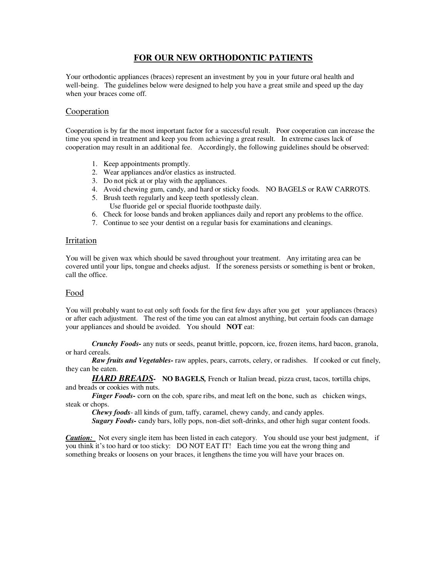# **FOR OUR NEW ORTHODONTIC PATIENTS**

Your orthodontic appliances (braces) represent an investment by you in your future oral health and well-being. The guidelines below were designed to help you have a great smile and speed up the day when your braces come off.

### **Cooperation**

Cooperation is by far the most important factor for a successful result. Poor cooperation can increase the time you spend in treatment and keep you from achieving a great result. In extreme cases lack of cooperation may result in an additional fee. Accordingly, the following guidelines should be observed:

- 1. Keep appointments promptly.
- 2. Wear appliances and/or elastics as instructed.
- 3. Do not pick at or play with the appliances.
- 4. Avoid chewing gum, candy, and hard or sticky foods. NO BAGELS or RAW CARROTS.
- 5. Brush teeth regularly and keep teeth spotlessly clean.
- Use fluoride gel or special fluoride toothpaste daily.
- 6. Check for loose bands and broken appliances daily and report any problems to the office.
- 7. Continue to see your dentist on a regular basis for examinations and cleanings.

#### Irritation

You will be given wax which should be saved throughout your treatment. Any irritating area can be covered until your lips, tongue and cheeks adjust. If the soreness persists or something is bent or broken, call the office.

### Food

You will probably want to eat only soft foods for the first few days after you get your appliances (braces) or after each adjustment. The rest of the time you can eat almost anything, but certain foods can damage your appliances and should be avoided. You should **NOT** eat:

*Crunchy Foods-* any nuts or seeds, peanut brittle, popcorn, ice, frozen items, hard bacon, granola, or hard cereals.

*Raw fruits and Vegetables-* raw apples, pears, carrots, celery, or radishes. If cooked or cut finely, they can be eaten.

*HARD BREADS-* **NO BAGELS***,* French or Italian bread, pizza crust, tacos, tortilla chips, and breads or cookies with nuts.

*Finger Foods-* corn on the cob, spare ribs, and meat left on the bone, such as chicken wings, steak or chops.

*Chewy foods*- all kinds of gum, taffy, caramel, chewy candy, and candy apples.

*Sugary Foods-* candy bars, lolly pops, non-diet soft-drinks, and other high sugar content foods.

*Caution:* Not every single item has been listed in each category. You should use your best judgment, if you think it's too hard or too sticky: DO NOT EAT IT! Each time you eat the wrong thing and something breaks or loosens on your braces, it lengthens the time you will have your braces on.